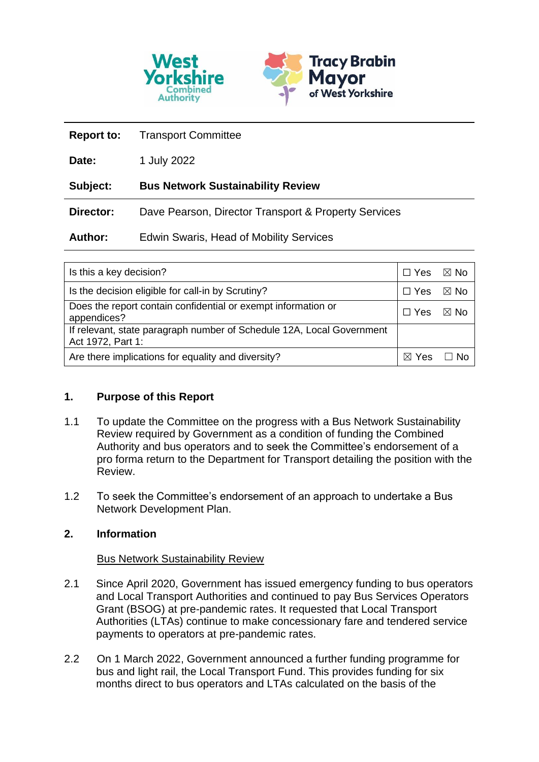

| <b>Report to:</b> | <b>Transport Committee</b>                           |
|-------------------|------------------------------------------------------|
| Date:             | 1 July 2022                                          |
| Subject:          | <b>Bus Network Sustainability Review</b>             |
| Director:         | Dave Pearson, Director Transport & Property Services |
| <b>Author:</b>    | <b>Edwin Swaris, Head of Mobility Services</b>       |

| Is this a key decision?                                                                    |  | ⊠ No |
|--------------------------------------------------------------------------------------------|--|------|
| Is the decision eligible for call-in by Scrutiny?                                          |  | ⊠ No |
| Does the report contain confidential or exempt information or<br>appendices?               |  | ⊠ No |
| If relevant, state paragraph number of Schedule 12A, Local Government<br>Act 1972, Part 1: |  |      |
| Are there implications for equality and diversity?                                         |  |      |

## **1. Purpose of this Report**

- 1.1 To update the Committee on the progress with a Bus Network Sustainability Review required by Government as a condition of funding the Combined Authority and bus operators and to seek the Committee's endorsement of a pro forma return to the Department for Transport detailing the position with the Review.
- 1.2 To seek the Committee's endorsement of an approach to undertake a Bus Network Development Plan.

## **2. Information**

## Bus Network Sustainability Review

- 2.1 Since April 2020, Government has issued emergency funding to bus operators and Local Transport Authorities and continued to pay Bus Services Operators Grant (BSOG) at pre-pandemic rates. It requested that Local Transport Authorities (LTAs) continue to make concessionary fare and tendered service payments to operators at pre-pandemic rates.
- 2.2 On 1 March 2022, Government announced a further funding programme for bus and light rail, the Local Transport Fund. This provides funding for six months direct to bus operators and LTAs calculated on the basis of the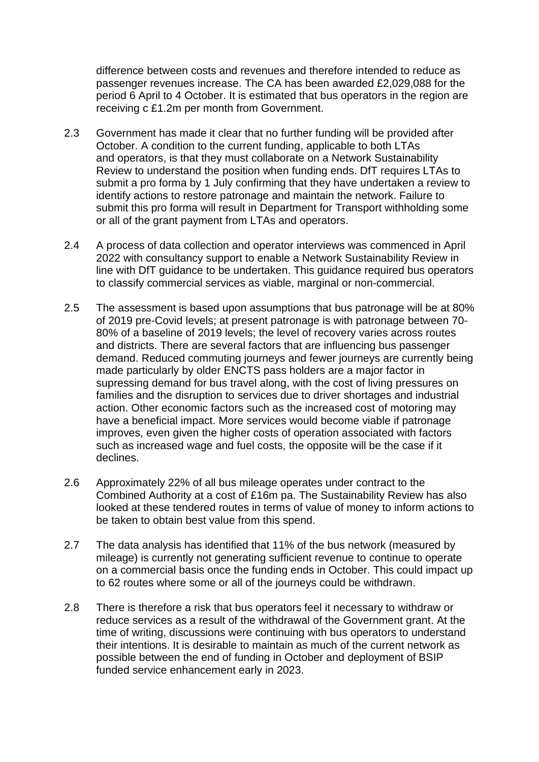difference between costs and revenues and therefore intended to reduce as passenger revenues increase. The CA has been awarded £2,029,088 for the period 6 April to 4 October. It is estimated that bus operators in the region are receiving c £1.2m per month from Government.

- 2.3 Government has made it clear that no further funding will be provided after October. A condition to the current funding, applicable to both LTAs and operators, is that they must collaborate on a Network Sustainability Review to understand the position when funding ends. DfT requires LTAs to submit a pro forma by 1 July confirming that they have undertaken a review to identify actions to restore patronage and maintain the network. Failure to submit this pro forma will result in Department for Transport withholding some or all of the grant payment from LTAs and operators.
- 2.4 A process of data collection and operator interviews was commenced in April 2022 with consultancy support to enable a Network Sustainability Review in line with DfT guidance to be undertaken. This guidance required bus operators to classify commercial services as viable, marginal or non-commercial.
- 2.5 The assessment is based upon assumptions that bus patronage will be at 80% of 2019 pre-Covid levels; at present patronage is with patronage between 70- 80% of a baseline of 2019 levels; the level of recovery varies across routes and districts. There are several factors that are influencing bus passenger demand. Reduced commuting journeys and fewer journeys are currently being made particularly by older ENCTS pass holders are a major factor in supressing demand for bus travel along, with the cost of living pressures on families and the disruption to services due to driver shortages and industrial action. Other economic factors such as the increased cost of motoring may have a beneficial impact. More services would become viable if patronage improves, even given the higher costs of operation associated with factors such as increased wage and fuel costs, the opposite will be the case if it declines.
- 2.6 Approximately 22% of all bus mileage operates under contract to the Combined Authority at a cost of £16m pa. The Sustainability Review has also looked at these tendered routes in terms of value of money to inform actions to be taken to obtain best value from this spend.
- 2.7 The data analysis has identified that 11% of the bus network (measured by mileage) is currently not generating sufficient revenue to continue to operate on a commercial basis once the funding ends in October. This could impact up to 62 routes where some or all of the journeys could be withdrawn.
- 2.8 There is therefore a risk that bus operators feel it necessary to withdraw or reduce services as a result of the withdrawal of the Government grant. At the time of writing, discussions were continuing with bus operators to understand their intentions. It is desirable to maintain as much of the current network as possible between the end of funding in October and deployment of BSIP funded service enhancement early in 2023.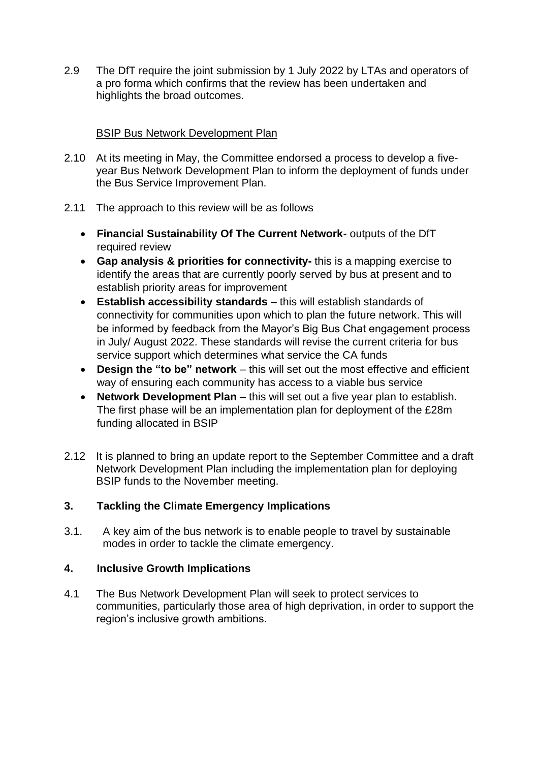2.9 The DfT require the joint submission by 1 July 2022 by LTAs and operators of a pro forma which confirms that the review has been undertaken and highlights the broad outcomes.

## BSIP Bus Network Development Plan

- 2.10 At its meeting in May, the Committee endorsed a process to develop a fiveyear Bus Network Development Plan to inform the deployment of funds under the Bus Service Improvement Plan.
- 2.11 The approach to this review will be as follows
	- **Financial Sustainability Of The Current Network** outputs of the DfT required review
	- **Gap analysis & priorities for connectivity-** this is a mapping exercise to identify the areas that are currently poorly served by bus at present and to establish priority areas for improvement
	- **Establish accessibility standards –** this will establish standards of connectivity for communities upon which to plan the future network. This will be informed by feedback from the Mayor's Big Bus Chat engagement process in July/ August 2022. These standards will revise the current criteria for bus service support which determines what service the CA funds
	- **Design the "to be" network** this will set out the most effective and efficient way of ensuring each community has access to a viable bus service
	- **Network Development Plan** this will set out a five year plan to establish. The first phase will be an implementation plan for deployment of the £28m funding allocated in BSIP
- 2.12 It is planned to bring an update report to the September Committee and a draft Network Development Plan including the implementation plan for deploying BSIP funds to the November meeting.

# **3. Tackling the Climate Emergency Implications**

3.1. A key aim of the bus network is to enable people to travel by sustainable modes in order to tackle the climate emergency.

## **4. Inclusive Growth Implications**

4.1 The Bus Network Development Plan will seek to protect services to communities, particularly those area of high deprivation, in order to support the region's inclusive growth ambitions.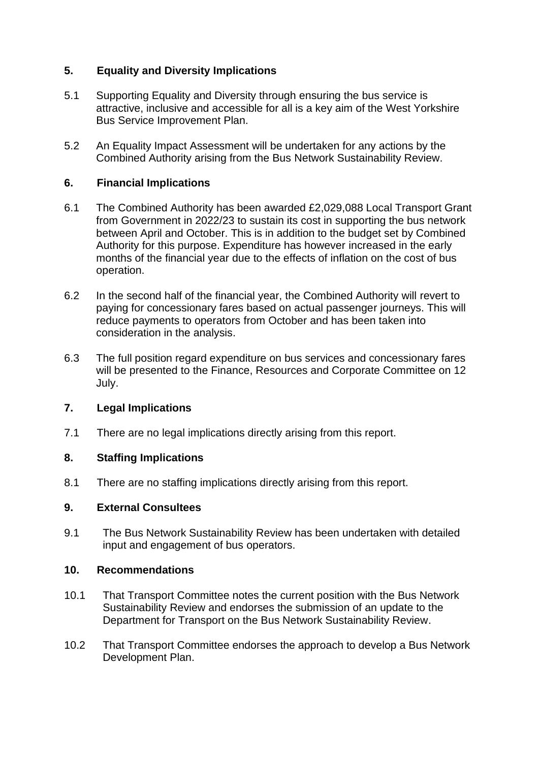# **5. Equality and Diversity Implications**

- 5.1 Supporting Equality and Diversity through ensuring the bus service is attractive, inclusive and accessible for all is a key aim of the West Yorkshire Bus Service Improvement Plan.
- 5.2 An Equality Impact Assessment will be undertaken for any actions by the Combined Authority arising from the Bus Network Sustainability Review.

## **6. Financial Implications**

- 6.1 The Combined Authority has been awarded £2,029,088 Local Transport Grant from Government in 2022/23 to sustain its cost in supporting the bus network between April and October. This is in addition to the budget set by Combined Authority for this purpose. Expenditure has however increased in the early months of the financial year due to the effects of inflation on the cost of bus operation.
- 6.2 In the second half of the financial year, the Combined Authority will revert to paying for concessionary fares based on actual passenger journeys. This will reduce payments to operators from October and has been taken into consideration in the analysis.
- 6.3 The full position regard expenditure on bus services and concessionary fares will be presented to the Finance, Resources and Corporate Committee on 12 July.

## **7. Legal Implications**

7.1 There are no legal implications directly arising from this report.

## **8. Staffing Implications**

8.1 There are no staffing implications directly arising from this report.

## **9. External Consultees**

9.1 The Bus Network Sustainability Review has been undertaken with detailed input and engagement of bus operators.

## **10. Recommendations**

- 10.1 That Transport Committee notes the current position with the Bus Network Sustainability Review and endorses the submission of an update to the Department for Transport on the Bus Network Sustainability Review.
- 10.2 That Transport Committee endorses the approach to develop a Bus Network Development Plan.